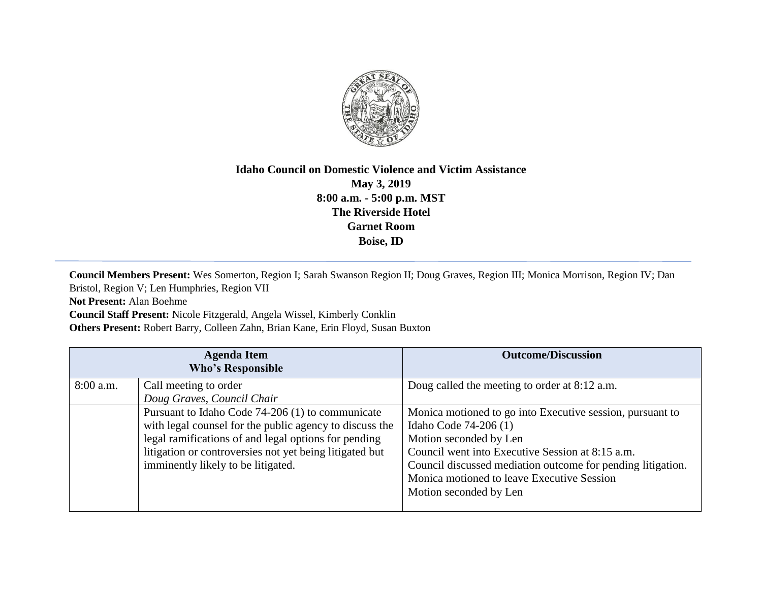

## **Idaho Council on Domestic Violence and Victim Assistance May 3, 2019 8:00 a.m. - 5:00 p.m. MST The Riverside Hotel Garnet Room Boise, ID**

**Council Members Present:** Wes Somerton, Region I; Sarah Swanson Region II; Doug Graves, Region III; Monica Morrison, Region IV; Dan Bristol, Region V; Len Humphries, Region VII

**Not Present:** Alan Boehme

**Council Staff Present:** Nicole Fitzgerald, Angela Wissel, Kimberly Conklin

**Others Present:** Robert Barry, Colleen Zahn, Brian Kane, Erin Floyd, Susan Buxton

|             | <b>Agenda Item</b><br><b>Who's Responsible</b>                                                                                                                                                                                                                       | <b>Outcome/Discussion</b>                                                                                                                                                                                                                                                                               |
|-------------|----------------------------------------------------------------------------------------------------------------------------------------------------------------------------------------------------------------------------------------------------------------------|---------------------------------------------------------------------------------------------------------------------------------------------------------------------------------------------------------------------------------------------------------------------------------------------------------|
| $8:00$ a.m. | Call meeting to order<br>Doug Graves, Council Chair                                                                                                                                                                                                                  | Doug called the meeting to order at 8:12 a.m.                                                                                                                                                                                                                                                           |
|             | Pursuant to Idaho Code 74-206 (1) to communicate<br>with legal counsel for the public agency to discuss the<br>legal ramifications of and legal options for pending<br>litigation or controversies not yet being litigated but<br>imminently likely to be litigated. | Monica motioned to go into Executive session, pursuant to<br>Idaho Code 74-206 (1)<br>Motion seconded by Len<br>Council went into Executive Session at 8:15 a.m.<br>Council discussed mediation outcome for pending litigation.<br>Monica motioned to leave Executive Session<br>Motion seconded by Len |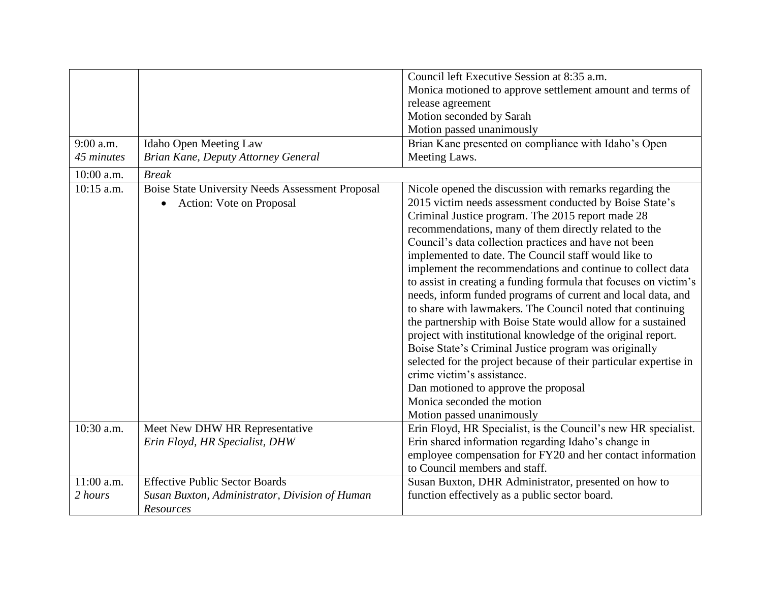|              |                                                                                                  | Council left Executive Session at 8:35 a.m.                                                                                                                                                                                                                                                                                                                                                                                                                                                                                                                                                                                                                                                                                                                                                                                                                                                                                                                                         |
|--------------|--------------------------------------------------------------------------------------------------|-------------------------------------------------------------------------------------------------------------------------------------------------------------------------------------------------------------------------------------------------------------------------------------------------------------------------------------------------------------------------------------------------------------------------------------------------------------------------------------------------------------------------------------------------------------------------------------------------------------------------------------------------------------------------------------------------------------------------------------------------------------------------------------------------------------------------------------------------------------------------------------------------------------------------------------------------------------------------------------|
|              |                                                                                                  | Monica motioned to approve settlement amount and terms of                                                                                                                                                                                                                                                                                                                                                                                                                                                                                                                                                                                                                                                                                                                                                                                                                                                                                                                           |
|              |                                                                                                  | release agreement                                                                                                                                                                                                                                                                                                                                                                                                                                                                                                                                                                                                                                                                                                                                                                                                                                                                                                                                                                   |
|              |                                                                                                  | Motion seconded by Sarah                                                                                                                                                                                                                                                                                                                                                                                                                                                                                                                                                                                                                                                                                                                                                                                                                                                                                                                                                            |
|              |                                                                                                  | Motion passed unanimously                                                                                                                                                                                                                                                                                                                                                                                                                                                                                                                                                                                                                                                                                                                                                                                                                                                                                                                                                           |
| $9:00$ a.m.  | <b>Idaho Open Meeting Law</b>                                                                    | Brian Kane presented on compliance with Idaho's Open                                                                                                                                                                                                                                                                                                                                                                                                                                                                                                                                                                                                                                                                                                                                                                                                                                                                                                                                |
| 45 minutes   | Brian Kane, Deputy Attorney General                                                              | Meeting Laws.                                                                                                                                                                                                                                                                                                                                                                                                                                                                                                                                                                                                                                                                                                                                                                                                                                                                                                                                                                       |
| 10:00 a.m.   | <b>Break</b>                                                                                     |                                                                                                                                                                                                                                                                                                                                                                                                                                                                                                                                                                                                                                                                                                                                                                                                                                                                                                                                                                                     |
| $10:15$ a.m. | <b>Boise State University Needs Assessment Proposal</b><br>Action: Vote on Proposal<br>$\bullet$ | Nicole opened the discussion with remarks regarding the<br>2015 victim needs assessment conducted by Boise State's<br>Criminal Justice program. The 2015 report made 28<br>recommendations, many of them directly related to the<br>Council's data collection practices and have not been<br>implemented to date. The Council staff would like to<br>implement the recommendations and continue to collect data<br>to assist in creating a funding formula that focuses on victim's<br>needs, inform funded programs of current and local data, and<br>to share with lawmakers. The Council noted that continuing<br>the partnership with Boise State would allow for a sustained<br>project with institutional knowledge of the original report.<br>Boise State's Criminal Justice program was originally<br>selected for the project because of their particular expertise in<br>crime victim's assistance.<br>Dan motioned to approve the proposal<br>Monica seconded the motion |
| 10:30 a.m.   | Meet New DHW HR Representative                                                                   | Motion passed unanimously<br>Erin Floyd, HR Specialist, is the Council's new HR specialist.                                                                                                                                                                                                                                                                                                                                                                                                                                                                                                                                                                                                                                                                                                                                                                                                                                                                                         |
|              | Erin Floyd, HR Specialist, DHW                                                                   | Erin shared information regarding Idaho's change in                                                                                                                                                                                                                                                                                                                                                                                                                                                                                                                                                                                                                                                                                                                                                                                                                                                                                                                                 |
|              |                                                                                                  | employee compensation for FY20 and her contact information                                                                                                                                                                                                                                                                                                                                                                                                                                                                                                                                                                                                                                                                                                                                                                                                                                                                                                                          |
|              |                                                                                                  | to Council members and staff.                                                                                                                                                                                                                                                                                                                                                                                                                                                                                                                                                                                                                                                                                                                                                                                                                                                                                                                                                       |
| 11:00 a.m.   | <b>Effective Public Sector Boards</b>                                                            | Susan Buxton, DHR Administrator, presented on how to                                                                                                                                                                                                                                                                                                                                                                                                                                                                                                                                                                                                                                                                                                                                                                                                                                                                                                                                |
| 2 hours      | Susan Buxton, Administrator, Division of Human<br>Resources                                      | function effectively as a public sector board.                                                                                                                                                                                                                                                                                                                                                                                                                                                                                                                                                                                                                                                                                                                                                                                                                                                                                                                                      |